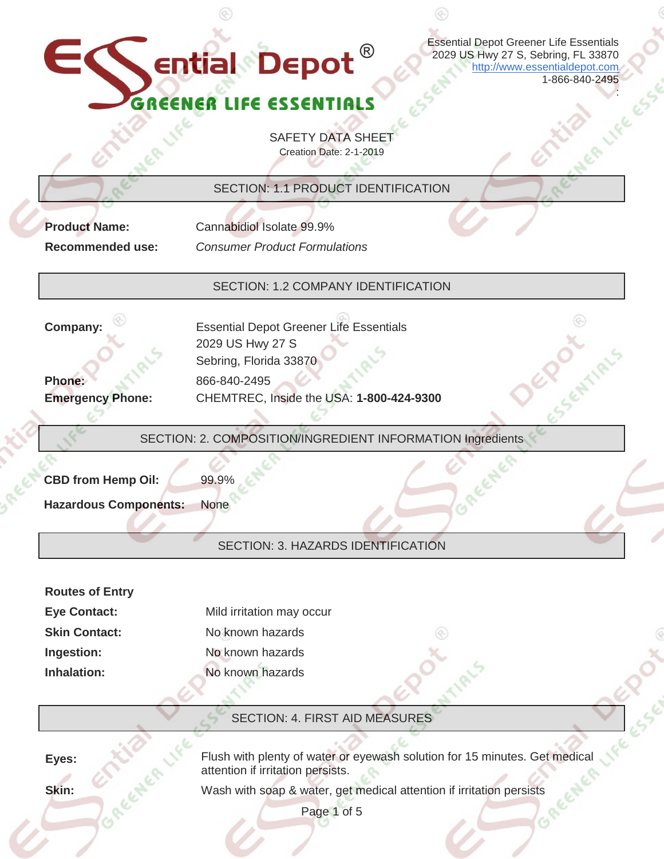Essential Depot Greener Life Essentials 2029 US Hwy 27 S, Sebring, FL 33870 [http://www.essentialdepot.com](http://www.essentialdepot.com/) 1-866-840-2495

:

**K** ential Depot

SAFETY DATA SHEET Creation Date: 2-1-2019

SECTION: 1.1 PRODUCT IDENTIFICATION

**Recommended use:** *Consumer Product Formulations*

**Product Name:** Cannabidiol Isolate 99.9%

SECTION: 1.2 COMPANY IDENTIFICATION

**Phone: Emergency Phone:**

**Company:** Essential Depot Greener Life Essentials 2029 US Hwy 27 S Sebring, Florida 33870 866-840-2495 CHEMTREC, Inside the USA: **1-800-424-9300**

SECTION: 2. COMPOSITION/INGREDIENT INFORMATION Ingredients

**CBD from Hemp Oil:** 99.9%

**Hazardous Components:** None

## SECTION: 3. HAZARDS IDENTIFICATION

| <b>Routes of Entry</b> |                           |
|------------------------|---------------------------|
| <b>Eye Contact:</b>    | Mild irritation may occur |
| <b>Skin Contact:</b>   | No known hazards          |
| Ingestion:             | No known hazards          |
| Inhalation:            | No known hazards          |

# SECTION: 4. FIRST AID MEASURES

**Eyes:** Flush with plenty of water or eyewash solution for 15 minutes. Get medical attention if irritation persists.

**Skin:** Wash with soap & water, get medical attention if irritation persists

Page 1 of 5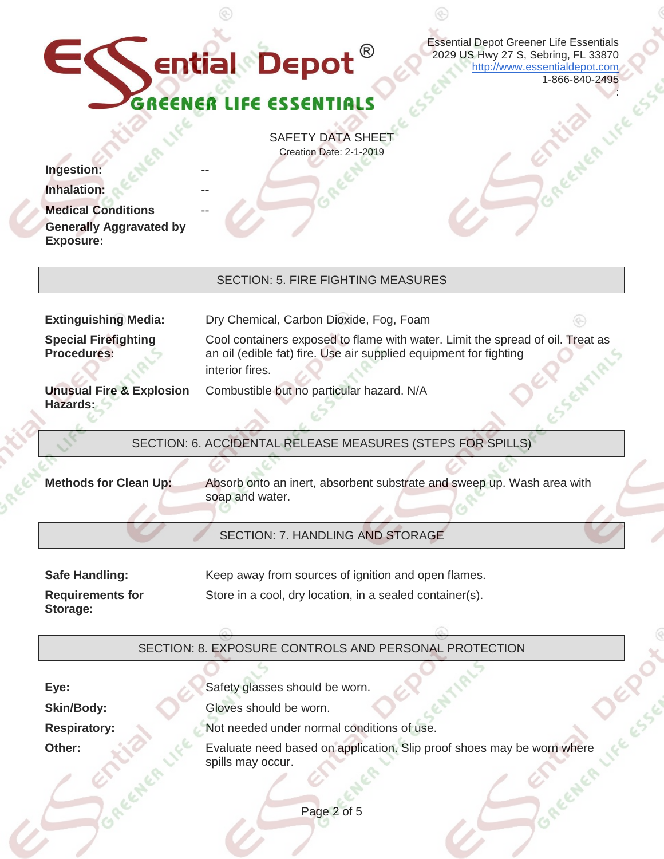

--

Essential Depot Greener Life Essentials 2029 US Hwy 27 S, Sebring, FL 33870 [http://www.essentialdepot.com](http://www.essentialdepot.com/) 1-866-840-2495

:

LER LIFE

SAFETY DATA SHEET Creation Date: 2-1-2019

 $Inqestion:$ 

**Inhalation:** 

**Medical Conditions Generally Aggravated by Exposure:**

## SECTION: 5. FIRE FIGHTING MEASURES

**Special Firefighting Procedures:**

**Unusual Fire & Explosion Hazards:**

**Extinguishing Media:** Dry Chemical, Carbon Dioxide, Fog, Foam

Cool containers exposed to flame with water. Limit the spread of oil. Treat as an oil (edible fat) fire. Use air supplied equipment for fighting interior fires.

# Combustible but no particular hazard. N/A

SECTION: 6. ACCIDENTAL RELEASE MEASURES (STEPS FOR SPILLS)

**Methods for Clean Up:** Absorb onto an inert, absorbent substrate and sweep up. Wash area with soap and water.

## SECTION: 7. HANDLING AND STORAGE

| <b>Safe Handling:</b>               | Keep away from sources of ignition and open flames.      |
|-------------------------------------|----------------------------------------------------------|
| <b>Requirements for</b><br>Storage: | Store in a cool, dry location, in a sealed container(s). |

# SECTION: 8. EXPOSURE CONTROLS AND PERSONAL PROTECTION

**Eye:** Safety glasses should be worn. **Skin/Body:** Gloves should be worn. **Respiratory:** Not needed under normal conditions of use.

**Other:** Evaluate need based on application. Slip proof shoes may be worn where spills may occur.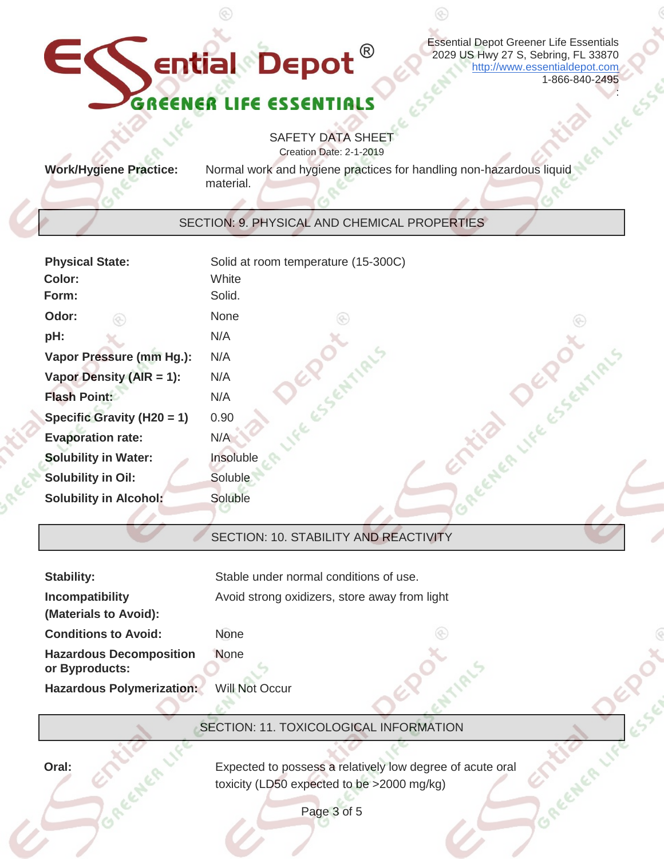# EC **Ential Depot**<sup>®</sup> GRE

Essential Depot Greener Life Essentials 2029 US Hwy 27 S, Sebring, FL 33870 [http://www.essentialdepot.com](http://www.essentialdepot.com/) 1-866-840-2495

:

SAFETY DATA SHEET Creation Date: 2-1-2019

**Work/Hygiene Practice:** Normal work and hygiene practices for handling non-hazardous liquid material.

⊛

### SECTION: 9. PHYSICAL AND CHEMICAL PROPERTIES

| <b>Physical State:</b><br>Color:<br>Form: | Solid at room temperature (15-300C)<br>White<br>Solid. |
|-------------------------------------------|--------------------------------------------------------|
| Odor:                                     | None                                                   |
| pH:                                       | N/A                                                    |
| Vapor Pressure (mm Hg.):                  | N/A                                                    |
| Vapor Density (AIR = 1):                  | N/A                                                    |
| <b>Flash Point:</b>                       | N/A                                                    |
| Specific Gravity (H20 = 1)                | 0.90                                                   |
| <b>Evaporation rate:</b>                  | N/A                                                    |
| <b>Solubility in Water:</b>               | Insoluble                                              |
| <b>Solubility in Oil:</b>                 | Soluble                                                |
| <b>Solubility in Alcohol:</b>             | Soluble                                                |
|                                           |                                                        |

### SECTION: 10. STABILITY AND REACTIVITY

| <b>Stability:</b>                                | Stable under normal conditions of use.        |
|--------------------------------------------------|-----------------------------------------------|
| Incompatibility                                  | Avoid strong oxidizers, store away from light |
| (Materials to Avoid):                            |                                               |
| <b>Conditions to Avoid:</b>                      | (P-)<br>None                                  |
| <b>Hazardous Decomposition</b><br>or Byproducts: | None                                          |
| <b>Hazardous Polymerization:</b>                 | <b>Will Not Occur</b>                         |

SECTION: 11. TOXICOLOGICAL INFORMATION

**Oral: Expected to possess a relatively low degree of acute oral** toxicity (LD50 expected to be >2000 mg/kg)

Page 3 of 5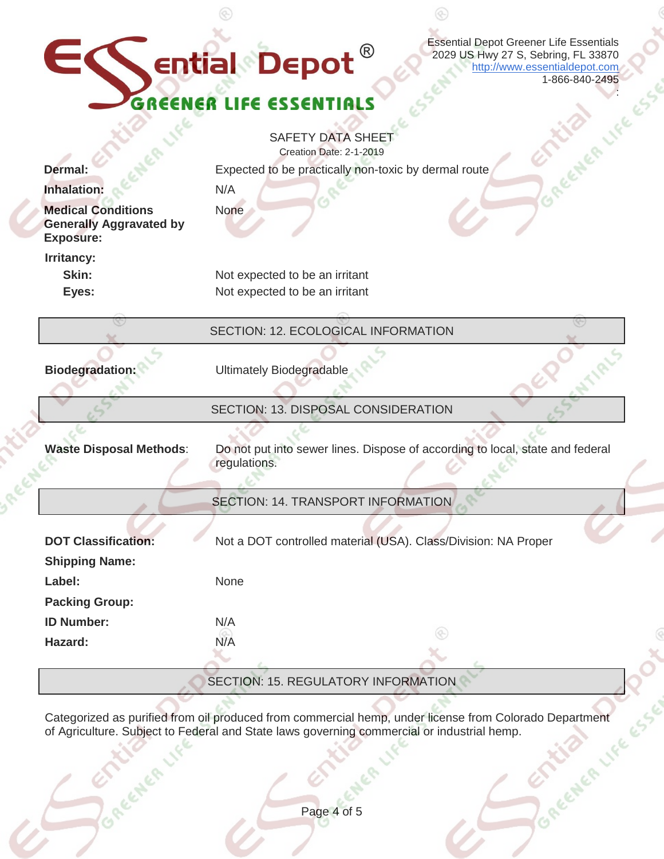|                                                                                              | <b>Essential Depot Greener Life Essentials</b><br>EC ential Depot<br>2029 US Hwy 27 S, Sebring, FL 33870<br>http://www.essentialdepot.com<br>1-866-840-2495 |  |
|----------------------------------------------------------------------------------------------|-------------------------------------------------------------------------------------------------------------------------------------------------------------|--|
| GREENER LIFE ESSEN                                                                           |                                                                                                                                                             |  |
| <b>Dermal:</b><br>Inhalation:<br><b>Medical Conditions</b><br><b>Generally Aggravated by</b> | <b>SAFETY DATA SHEE</b><br>Creation Date: 2-1-2019<br>Expected to be practically non-toxic by dermal route<br>N/A<br>None                                   |  |
| <b>Exposure:</b><br>Irritancy:<br>Skin:<br>Eyes:                                             | Not expected to be an irritant<br>Not expected to be an irritant                                                                                            |  |
|                                                                                              | SECTION: 12. ECOLOGICAL INFORMATION                                                                                                                         |  |
| <b>Biodegradation:</b>                                                                       | <b>Ultimately Biodegradable</b>                                                                                                                             |  |
|                                                                                              | SECTION: 13. DISPOSAL CONSIDERATION                                                                                                                         |  |
| <b>Waste Disposal Methods:</b>                                                               | Do not put into sewer lines. Dispose of according to local, state and federal<br>regulations.                                                               |  |
|                                                                                              | <b>SECTION: 14. TRANSPORT INFORMATION</b>                                                                                                                   |  |
| <b>DOT Classification:</b>                                                                   | Not a DOT controlled material (USA). Class/Division: NA Proper                                                                                              |  |
| <b>Shipping Name:</b><br>Label:                                                              | None                                                                                                                                                        |  |
| <b>Packing Group:</b>                                                                        |                                                                                                                                                             |  |
| <b>ID Number:</b>                                                                            | N/A                                                                                                                                                         |  |
| Hazard:                                                                                      | N/A                                                                                                                                                         |  |
|                                                                                              | SECTION: 15. REGULATORY INFORMATION                                                                                                                         |  |

 $\circledcirc$ 

 $\circledS$ 

 $\bigotimes_{i=1}^n \bigotimes_{j=1}^n \bigotimes_{j=1}^n \bigotimes_{j=1}^n \bigotimes_{j=1}^n \bigotimes_{j=1}^n \bigotimes_{j=1}^n \bigotimes_{j=1}^n \bigotimes_{j=1}^n \bigotimes_{j=1}^n \bigotimes_{j=1}^n \bigotimes_{j=1}^n \bigotimes_{j=1}^n \bigotimes_{j=1}^n \bigotimes_{j=1}^n \bigotimes_{j=1}^n \bigotimes_{j=1}^n \bigotimes_{j=1}^n \bigotimes_{j=1}^n \bigotimes_{j=1}^n$ 

Categorized as purified from oil produced from commercial hemp, under license from Colorado Department of Agriculture. Subject to Federal and State laws governing commercial or industrial hemp.